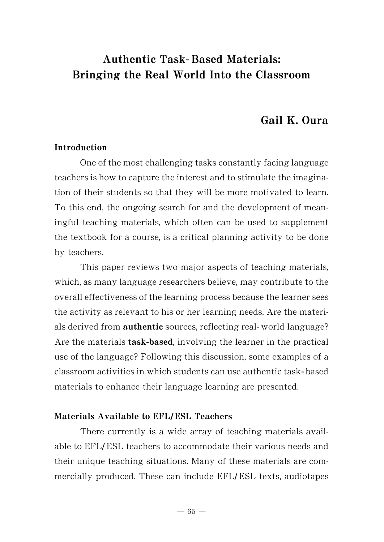# Authentic Task- Based Materials: Bringing the Real World Into the Classroom

# Gail K. Oura

# Introduction

One of the most challenging tasks constantly facing language teachers is how to capture the interest and to stimulate the imagination of their students so that they will be more motivated to learn. To this end, the ongoing search for and the development of meaningful teaching materials, which often can be used to supplement the textbook for a course, is a critical planning activity to be done by teachers.

This paper reviews two major aspects of teaching materials, which, as many language researchers believe, may contribute to the overall effectiveness of the learning process because the learner sees the activity as relevant to his or her learning needs. Are the materials derived from authentic sources, reflecting real- world language? Are the materials task-based, involving the learner in the practical use of the language? Following this discussion, some examples of a classroom activities in which students can use authentic task- based materials to enhance their language learning are presented.

### Materials Available to EFL**/**ESL Teachers

There currently is a wide array of teaching materials available to EFL/ ESL teachers to accommodate their various needs and their unique teaching situations. Many of these materials are commercially produced. These can include EFL/ESL texts, audiotapes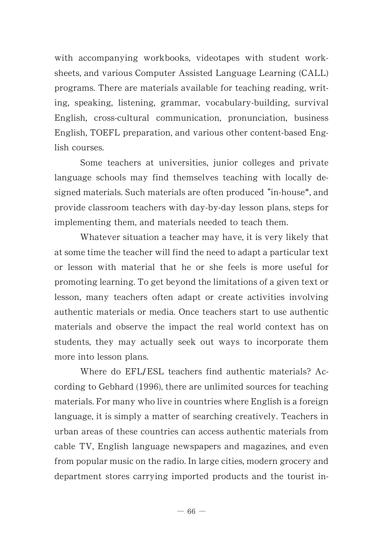with accompanying workbooks, videotapes with student worksheets, and various Computer Assisted Language Learning (CALL) programs. There are materials available for teaching reading, writing, speaking, listening, grammar, vocabulary-building, survival English, cross-cultural communication, pronunciation, business English, TOEFL preparation, and various other content-based English courses.

Some teachers at universities, junior colleges and private language schools may find themselves teaching with locally designed materials. Such materials are often produced "in-house", and provide classroom teachers with day-by-day lesson plans, steps for implementing them, and materials needed to teach them.

Whatever situation a teacher may have, it is very likely that at some time the teacher will find the need to adapt a particular text or lesson with material that he or she feels is more useful for promoting learning. To get beyond the limitations of a given text or lesson, many teachers often adapt or create activities involving authentic materials or media. Once teachers start to use authentic materials and observe the impact the real world context has on students, they may actually seek out ways to incorporate them more into lesson plans.

Where do EFL/ESL teachers find authentic materials? According to Gebhard (1996), there are unlimited sources for teaching materials. For many who live in countries where English is a foreign language, it is simply a matter of searching creatively. Teachers in urban areas of these countries can access authentic materials from cable TV, English language newspapers and magazines, and even from popular music on the radio. In large cities, modern grocery and department stores carrying imported products and the tourist in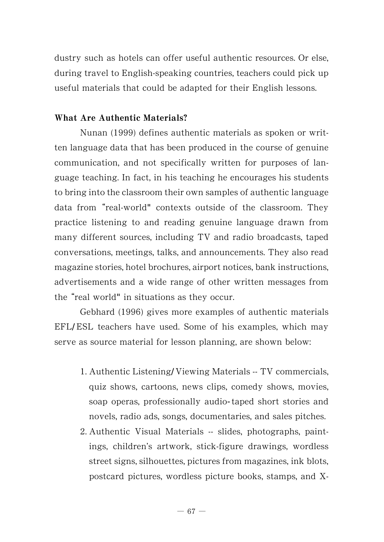dustry such as hotels can offer useful authentic resources. Or else, during travel to English-speaking countries, teachers could pick up useful materials that could be adapted for their English lessons.

# What Are Authentic Materials?

Nunan (1999) defines authentic materials as spoken or written language data that has been produced in the course of genuine communication, and not specifically written for purposes of language teaching. In fact, in his teaching he encourages his students to bring into the classroom their own samples of authentic language data from "real-world" contexts outside of the classroom. They practice listening to and reading genuine language drawn from many different sources, including TV and radio broadcasts, taped conversations, meetings, talks, and announcements. They also read magazine stories, hotel brochures, airport notices, bank instructions, advertisements and a wide range of other written messages from the "real world" in situations as they occur.

Gebhard (1996) gives more examples of authentic materials EFL/ESL teachers have used. Some of his examples, which may serve as source material for lesson planning, are shown below:

- 1. Authentic Listening/ Viewing Materials -- TV commercials, quiz shows, cartoons, news clips, comedy shows, movies, soap operas, professionally audio-taped short stories and novels, radio ads, songs, documentaries, and sales pitches.
- 2. Authentic Visual Materials -- slides, photographs, paintings, children's artwork, stick-figure drawings, wordless street signs, silhouettes, pictures from magazines, ink blots, postcard pictures, wordless picture books, stamps, and X-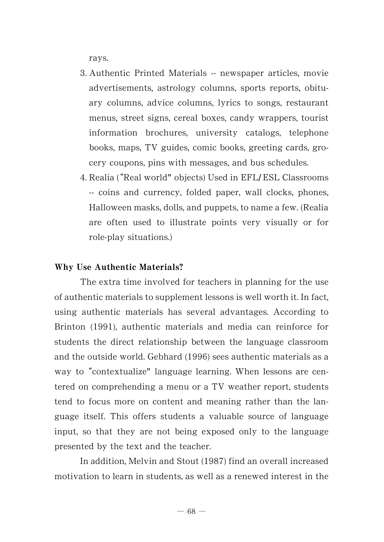rays.

- 3. Authentic Printed Materials -- newspaper articles, movie advertisements, astrology columns, sports reports, obituary columns, advice columns, lyrics to songs, restaurant menus, street signs, cereal boxes, candy wrappers, tourist information brochures, university catalogs, telephone books, maps, TV guides, comic books, greeting cards, grocery coupons, pins with messages, and bus schedules.
- 4. Realia ("Real world" objects) Used in EFL/ ESL Classrooms -- coins and currency, folded paper, wall clocks, phones, Halloween masks, dolls, and puppets, to name a few. (Realia are often used to illustrate points very visually or for role-play situations.)

### Why Use Authentic Materials?

The extra time involved for teachers in planning for the use of authentic materials to supplement lessons is well worth it. In fact, using authentic materials has several advantages. According to Brinton (1991), authentic materials and media can reinforce for students the direct relationship between the language classroom and the outside world. Gebhard (1996) sees authentic materials as a way to "contextualize" language learning. When lessons are centered on comprehending a menu or a TV weather report, students tend to focus more on content and meaning rather than the language itself. This offers students a valuable source of language input, so that they are not being exposed only to the language presented by the text and the teacher.

In addition, Melvin and Stout (1987) find an overall increased motivation to learn in students, as well as a renewed interest in the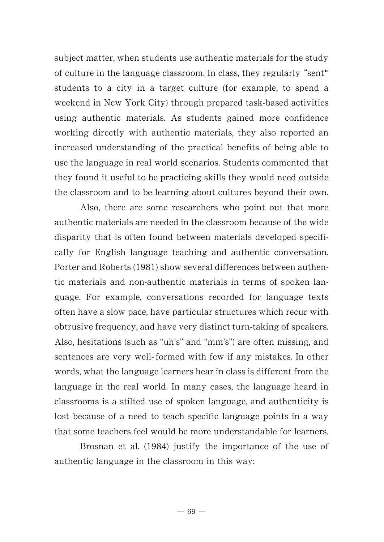subject matter, when students use authentic materials for the study of culture in the language classroom. In class, they regularly "sent" students to a city in a target culture (for example, to spend a weekend in New York City) through prepared task-based activities using authentic materials. As students gained more confidence working directly with authentic materials, they also reported an increased understanding of the practical benefits of being able to use the language in real world scenarios. Students commented that they found it useful to be practicing skills they would need outside the classroom and to be learning about cultures beyond their own.

Also, there are some researchers who point out that more authentic materials are needed in the classroom because of the wide disparity that is often found between materials developed specifically for English language teaching and authentic conversation. Porter and Roberts (1981) show several differences between authentic materials and non-authentic materials in terms of spoken language. For example, conversations recorded for language texts often have a slow pace, have particular structures which recur with obtrusive frequency, and have very distinct turn-taking of speakers. Also, hesitations (such as "uh's" and "mm's") are often missing, and sentences are very well-formed with few if any mistakes. In other words, what the language learners hear in class is different from the language in the real world. In many cases, the language heard in classrooms is a stilted use of spoken language, and authenticity is lost because of a need to teach specific language points in a way that some teachers feel would be more understandable for learners.

Brosnan et al. (1984) justify the importance of the use of authentic language in the classroom in this way: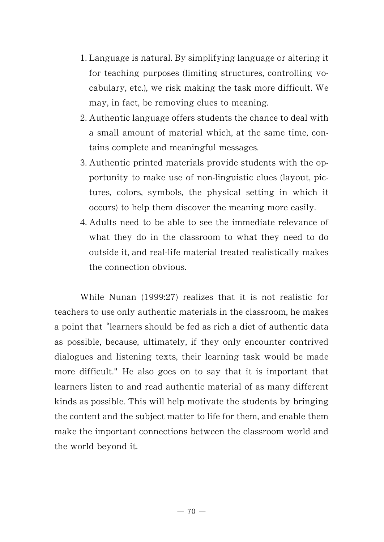- 1. Language is natural. By simplifying language or altering it for teaching purposes (limiting structures, controlling vocabulary, etc.), we risk making the task more difficult. We may, in fact, be removing clues to meaning.
- 2. Authentic language offers students the chance to deal with a small amount of material which, at the same time, contains complete and meaningful messages.
- 3. Authentic printed materials provide students with the opportunity to make use of non-linguistic clues (layout, pictures, colors, symbols, the physical setting in which it occurs) to help them discover the meaning more easily.
- 4. Adults need to be able to see the immediate relevance of what they do in the classroom to what they need to do outside it, and real-life material treated realistically makes the connection obvious.

While Nunan (1999:27) realizes that it is not realistic for teachers to use only authentic materials in the classroom, he makes a point that "learners should be fed as rich a diet of authentic data as possible, because, ultimately, if they only encounter contrived dialogues and listening texts, their learning task would be made more difficult." He also goes on to say that it is important that learners listen to and read authentic material of as many different kinds as possible. This will help motivate the students by bringing the content and the subject matter to life for them, and enable them make the important connections between the classroom world and the world beyond it.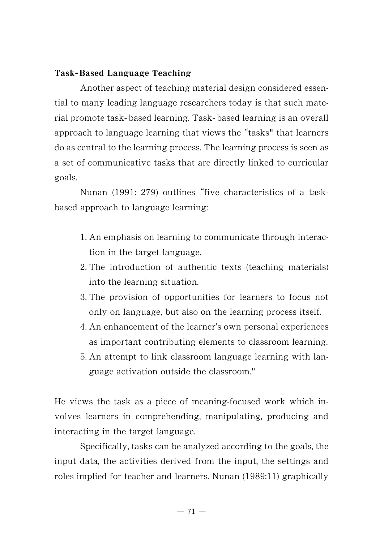# Task**-** Based Language Teaching

Another aspect of teaching material design considered essential to many leading language researchers today is that such material promote task- based learning. Task- based learning is an overall approach to language learning that views the "tasks" that learners do as central to the learning process. The learning process is seen as a set of communicative tasks that are directly linked to curricular goals.

Nunan (1991: 279) outlines "five characteristics of a taskbased approach to language learning:

- 1. An emphasis on learning to communicate through interaction in the target language.
- 2. The introduction of authentic texts (teaching materials) into the learning situation.
- 3. The provision of opportunities for learners to focus not only on language, but also on the learning process itself.
- 4. An enhancement of the learner's own personal experiences as important contributing elements to classroom learning.
- 5. An attempt to link classroom language learning with language activation outside the classroom."

He views the task as a piece of meaning-focused work which involves learners in comprehending, manipulating, producing and interacting in the target language.

Specifically, tasks can be analyzed according to the goals, the input data, the activities derived from the input, the settings and roles implied for teacher and learners. Nunan (1989:11) graphically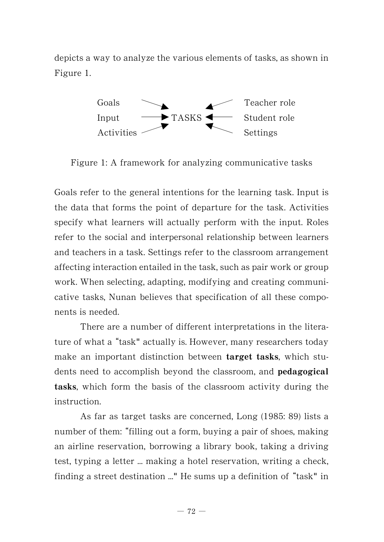depicts a way to analyze the various elements of tasks, as shown in Figure 1.



Figure 1: A framework for analyzing communicative tasks

Goals refer to the general intentions for the learning task. Input is the data that forms the point of departure for the task. Activities specify what learners will actually perform with the input. Roles refer to the social and interpersonal relationship between learners and teachers in a task. Settings refer to the classroom arrangement affecting interaction entailed in the task, such as pair work or group work. When selecting, adapting, modifying and creating communicative tasks, Nunan believes that specification of all these components is needed.

There are a number of different interpretations in the literature of what a "task" actually is. However, many researchers today make an important distinction between target tasks, which students need to accomplish beyond the classroom, and **pedagogical** tasks, which form the basis of the classroom activity during the instruction.

As far as target tasks are concerned, Long (1985: 89) lists a number of them: filling out a form, buying a pair of shoes, making an airline reservation, borrowing a library book, taking a driving test, typing a letter ... making a hotel reservation, writing a check, finding a street destination  $\ldots$ " He sums up a definition of "task" in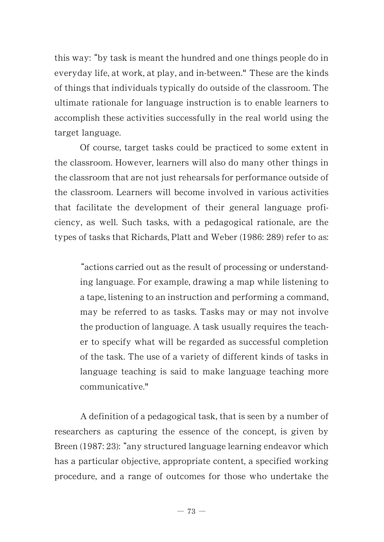this way: "by task is meant the hundred and one things people do in everyday life, at work, at play, and in-between." These are the kinds of things that individuals typically do outside of the classroom. The ultimate rationale for language instruction is to enable learners to accomplish these activities successfully in the real world using the target language.

Of course, target tasks could be practiced to some extent in the classroom. However, learners will also do many other things in the classroom that are not just rehearsals for performance outside of the classroom. Learners will become involved in various activities that facilitate the development of their general language proficiency, as well. Such tasks, with a pedagogical rationale, are the types of tasks that Richards, Platt and Weber (1986: 289) refer to as:

actions carried out as the result of processing or understanding language. For example, drawing a map while listening to a tape, listening to an instruction and performing a command, may be referred to as tasks. Tasks may or may not involve the production of language. A task usually requires the teacher to specify what will be regarded as successful completion of the task. The use of a variety of different kinds of tasks in language teaching is said to make language teaching more communicative."

A definition of a pedagogical task, that is seen by a number of researchers as capturing the essence of the concept, is given by Breen (1987: 23): "any structured language learning endeavor which has a particular objective, appropriate content, a specified working procedure, and a range of outcomes for those who undertake the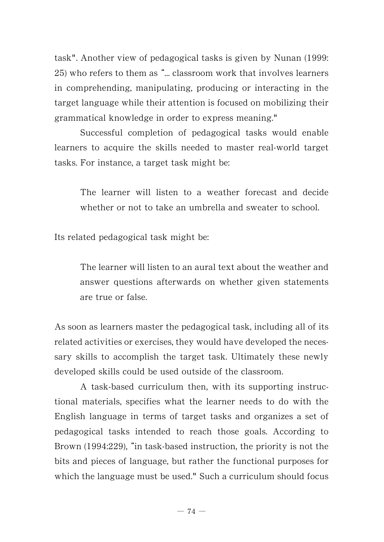task". Another view of pedagogical tasks is given by Nunan (1999:  $25$ ) who refers to them as  $\frac{6}{x}$  classroom work that involves learners in comprehending, manipulating, producing or interacting in the target language while their attention is focused on mobilizing their grammatical knowledge in order to express meaning."

Successful completion of pedagogical tasks would enable learners to acquire the skills needed to master real-world target tasks. For instance, a target task might be:

The learner will listen to a weather forecast and decide whether or not to take an umbrella and sweater to school.

Its related pedagogical task might be:

The learner will listen to an aural text about the weather and answer questions afterwards on whether given statements are true or false.

As soon as learners master the pedagogical task, including all of its related activities or exercises, they would have developed the necessary skills to accomplish the target task. Ultimately these newly developed skills could be used outside of the classroom.

A task-based curriculum then, with its supporting instructional materials, specifies what the learner needs to do with the English language in terms of target tasks and organizes a set of pedagogical tasks intended to reach those goals. According to Brown  $(1994:229)$ , "in task-based instruction, the priority is not the bits and pieces of language, but rather the functional purposes for which the language must be used." Such a curriculum should focus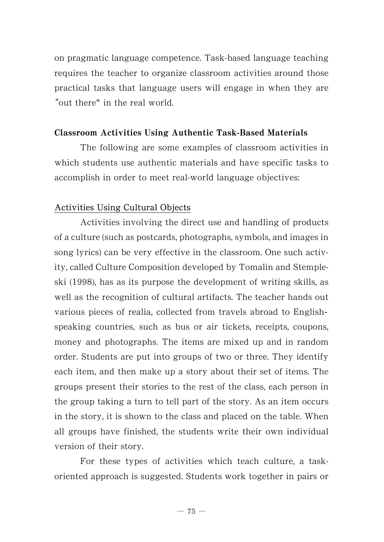on pragmatic language competence. Task-based language teaching requires the teacher to organize classroom activities around those practical tasks that language users will engage in when they are out there" in the real world.

# Classroom Activities Using Authentic Task-Based Materials

The following are some examples of classroom activities in which students use authentic materials and have specific tasks to accomplish in order to meet real-world language objectives:

# Activities Using Cultural Objects

Activities involving the direct use and handling of products of a culture (such as postcards, photographs, symbols, and images in song lyrics) can be very effective in the classroom. One such activity, called Culture Composition developed by Tomalin and Stempleski (1998), has as its purpose the development of writing skills, as well as the recognition of cultural artifacts. The teacher hands out various pieces of realia, collected from travels abroad to Englishspeaking countries, such as bus or air tickets, receipts, coupons, money and photographs. The items are mixed up and in random order. Students are put into groups of two or three. They identify each item, and then make up a story about their set of items. The groups present their stories to the rest of the class, each person in the group taking a turn to tell part of the story. As an item occurs in the story, it is shown to the class and placed on the table. When all groups have finished, the students write their own individual version of their story.

For these types of activities which teach culture, a taskoriented approach is suggested. Students work together in pairs or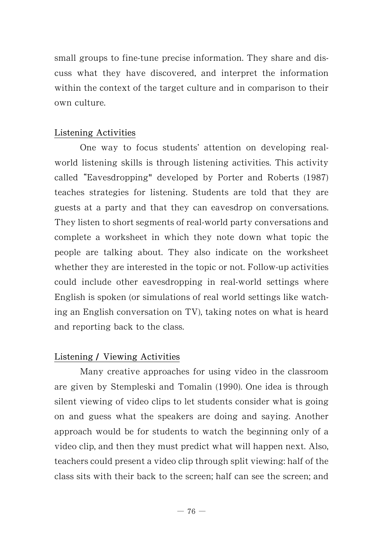small groups to fine-tune precise information. They share and discuss what they have discovered, and interpret the information within the context of the target culture and in comparison to their own culture.

# Listening Activities

One way to focus students' attention on developing realworld listening skills is through listening activities. This activity called Eavesdropping" developed by Porter and Roberts (1987) teaches strategies for listening. Students are told that they are guests at a party and that they can eavesdrop on conversations. They listen to short segments of real-world party conversations and complete a worksheet in which they note down what topic the people are talking about. They also indicate on the worksheet whether they are interested in the topic or not. Follow-up activities could include other eavesdropping in real-world settings where English is spoken (or simulations of real world settings like watching an English conversation on TV), taking notes on what is heard and reporting back to the class.

# Listening / Viewing Activities

Many creative approaches for using video in the classroom are given by Stempleski and Tomalin (1990). One idea is through silent viewing of video clips to let students consider what is going on and guess what the speakers are doing and saying. Another approach would be for students to watch the beginning only of a video clip, and then they must predict what will happen next. Also, teachers could present a video clip through split viewing: half of the class sits with their back to the screen; half can see the screen; and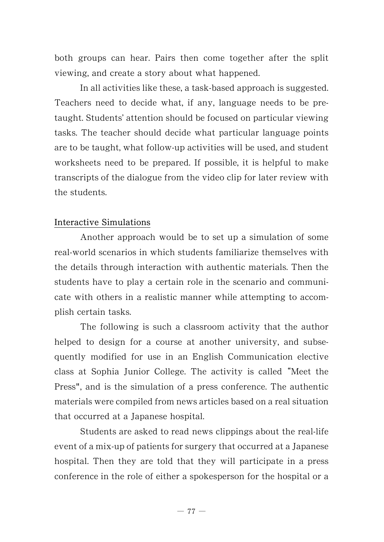both groups can hear. Pairs then come together after the split viewing, and create a story about what happened.

In all activities like these, a task-based approach is suggested. Teachers need to decide what, if any, language needs to be pretaught. Students' attention should be focused on particular viewing tasks. The teacher should decide what particular language points are to be taught, what follow-up activities will be used, and student worksheets need to be prepared. If possible, it is helpful to make transcripts of the dialogue from the video clip for later review with the students.

### Interactive Simulations

Another approach would be to set up a simulation of some real-world scenarios in which students familiarize themselves with the details through interaction with authentic materials. Then the students have to play a certain role in the scenario and communicate with others in a realistic manner while attempting to accomplish certain tasks.

The following is such a classroom activity that the author helped to design for a course at another university, and subsequently modified for use in an English Communication elective class at Sophia Junior College. The activity is called "Meet the Press", and is the simulation of a press conference. The authentic materials were compiled from news articles based on a real situation that occurred at a Japanese hospital.

Students are asked to read news clippings about the real-life event of a mix-up of patients for surgery that occurred at a Japanese hospital. Then they are told that they will participate in a press conference in the role of either a spokesperson for the hospital or a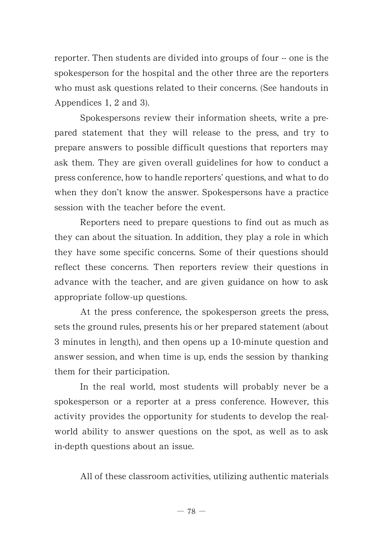reporter. Then students are divided into groups of four -- one is the spokesperson for the hospital and the other three are the reporters who must ask questions related to their concerns. (See handouts in Appendices 1, 2 and 3).

Spokespersons review their information sheets, write a prepared statement that they will release to the press, and try to prepare answers to possible difficult questions that reporters may ask them. They are given overall guidelines for how to conduct a press conference, how to handle reporters' questions, and what to do when they don't know the answer. Spokespersons have a practice session with the teacher before the event.

Reporters need to prepare questions to find out as much as they can about the situation. In addition, they play a role in which they have some specific concerns. Some of their questions should reflect these concerns. Then reporters review their questions in advance with the teacher, and are given guidance on how to ask appropriate follow-up questions.

At the press conference, the spokesperson greets the press, sets the ground rules, presents his or her prepared statement (about 3 minutes in length), and then opens up a 10-minute question and answer session, and when time is up, ends the session by thanking them for their participation.

In the real world, most students will probably never be a spokesperson or a reporter at a press conference. However, this activity provides the opportunity for students to develop the realworld ability to answer questions on the spot, as well as to ask in-depth questions about an issue.

All of these classroom activities, utilizing authentic materials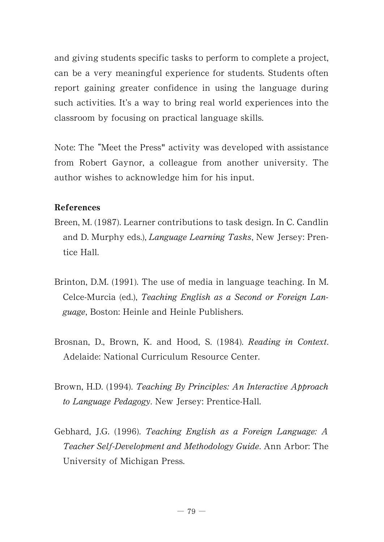and giving students specific tasks to perform to complete a project, can be a very meaningful experience for students. Students often report gaining greater confidence in using the language during such activities. It's a way to bring real world experiences into the classroom by focusing on practical language skills.

Note: The "Meet the Press" activity was developed with assistance from Robert Gaynor, a colleague from another university. The author wishes to acknowledge him for his input.

# References

- Breen, M. (1987). Learner contributions to task design. In C. Candlin and D. Murphy eds.), *Language Learning Tasks*, New Jersey: Prentice Hall.
- Brinton, D.M. (1991). The use of media in language teaching. In M. Celce-Murcia (ed.), Teaching English as a Second or Foreign Language, Boston: Heinle and Heinle Publishers.
- Brosnan, D., Brown, K. and Hood, S. (1984). Reading in Context. Adelaide: National Curriculum Resource Center.
- Brown, H.D. (1994). Teaching By Principles: An Interactive Approach to Language Pedagogy. New Jersey: Prentice-Hall.
- Gebhard, J.G. (1996). Teaching English as a Foreign Language: A Teacher Self-Development and Methodology Guide. Ann Arbor: The University of Michigan Press.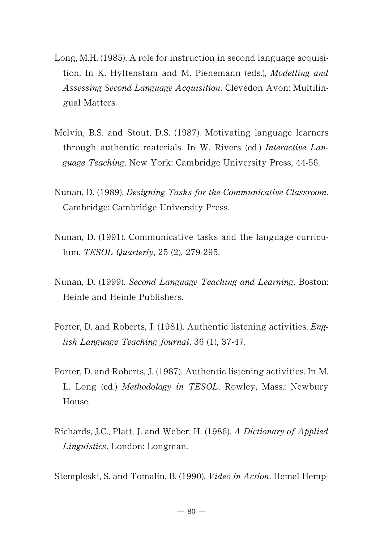- Long, M.H. (1985). A role for instruction in second language acquisition. In K. Hyltenstam and M. Pienemann (eds.), *Modelling and* Assessing Second Language Acquisition. Clevedon Avon: Multilingual Matters.
- Melvin, B.S. and Stout, D.S. (1987). Motivating language learners through authentic materials. In W. Rivers (ed.) Interactive Language Teaching. New York: Cambridge University Press, 44-56.
- Nunan, D. (1989). Designing Tasks for the Communicative Classroom. Cambridge: Cambridge University Press.
- Nunan, D. (1991). Communicative tasks and the language curriculum. TESOL Quarterly, 25 (2), 279-295.
- Nunan, D. (1999). Second Language Teaching and Learning. Boston: Heinle and Heinle Publishers.
- Porter, D. and Roberts, J. (1981). Authentic listening activities. English Language Teaching Journal, 36 (1), 37-47.
- Porter, D. and Roberts, J. (1987). Authentic listening activities. In M. L. Long (ed.) Methodology in TESOL. Rowley, Mass.: Newbury House.
- Richards, J.C., Platt, J. and Weber, H. (1986). A Dictionaryof Applied Linguistics. London: Longman.

Stempleski, S. and Tomalin, B. (1990). Video in Action. Hemel Hemp-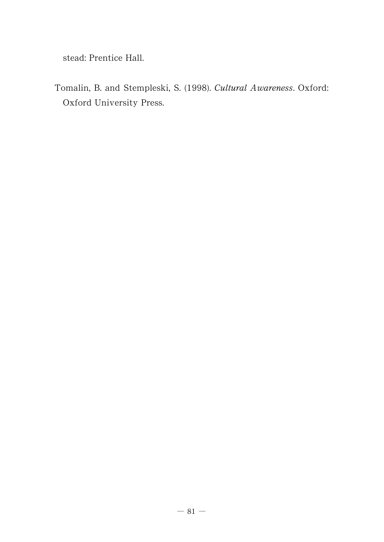stead: Prentice Hall.

Tomalin, B. and Stempleski, S. (1998). Cultural Awareness. Oxford: Oxford University Press.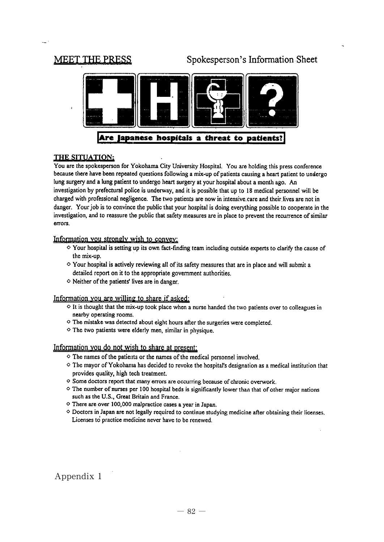# **MEET THE PRESS**

# Spokesperson's Information Sheet



#### THE SITUATION:

You are the spokesperson for Yokohama City University Hospital. You are holding this press conference because there have been repeated questions following a mix-up of patients causing a heart patient to undergo lung surgery and a lung patient to undergo heart surgery at your hospital about a month ago. An investigation by prefectural police is underway, and it is possible that up to 18 medical personnel will be charged with professional negligence. The two patients are now in intensive care and their lives are not in danger. Your job is to convince the public that your hospital is doing everything possible to cooperate in the investigation, and to reassure the public that safety measures are in place to prevent the recurrence of similar errors.

#### Information you strongly wish to convey:

- $\diamond$  Your hospital is setting up its own fact-finding team including outside experts to clarify the cause of the mix-up.
- ◇ Your hospital is actively reviewing all of its safety measures that are in place and will submit a detailed report on it to the appropriate government authorities.
- $\diamond$  Neither of the patients' lives are in danger.

#### Information you are willing to share if asked:

- $\diamond$  It is thought that the mix-up took place when a nurse handed the two patients over to colleagues in nearby operating rooms.
- ◇ The mistake was detected about eight hours after the surgeries were completed.
- $\diamond$  The two patients were elderly men, similar in physique.

#### Information you do not wish to share at present:

- ◇ The names of the patients or the names of the medical personnel involved.
- ◇ The mavor of Yokohama has decided to revoke the hospital's designation as a medical institution that provides quality, high tech treatment.
- ◇ Some doctors report that many errors are occurring because of chronic overwork.
- The number of nurses per 100 hospital beds is significantly lower than that of other major nations such as the U.S., Great Britain and France.
- $\diamond$  There are over 100,000 malpractice cases a year in Japan.
- O Doctors in Japan are not legally required to continue studying medicine after obtaining their licenses. Licenses to practice medicine never have to be renewed.

### Appendix 1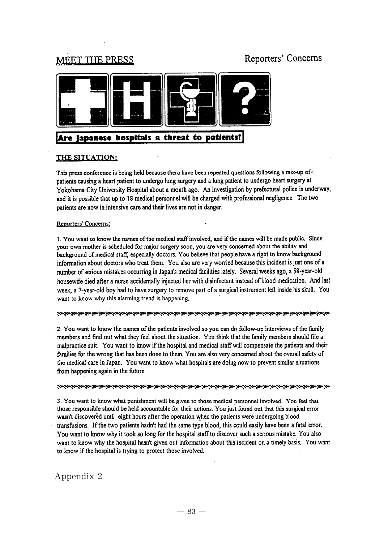# **MEET THE PRESS**

# Reporters' Concerns



# Are lapanese hospitals a threat to patients?

#### THE SITUATION:

This press conference is being held because there have been repeated questions following a mix-up of patients causing a heart patient to undergo lung surgery and a lung patient to undergo heart surgery at Yokohama City University Hospital about a month ago. An investigation by prefectural police is underway, and it is possible that up to 18 medical personnel will be charged with professional negligence. The two patients are now in intensive care and their lives are not in danger.

#### Reporters' Concerns:

1. You want to know the names of the medical staff involved, and if the names will be made public. Since your own mother is scheduled for major surgery soon, you are very concerned about the ability and background of medical staff, especially doctors. You believe that people have a right to know background information about doctors who treat them. You also are very worried because this incident is just one of a number of serious mistakes occurring in Japan's medical facilities lately. Several weeks ago, a 58-year-old housewife died after a nurse accidentally injected her with disinfectant instead of blood medication. And last week, a 7-year-old boy had to have surgery to remove part of a surgical instrument left inside his skull. You want to know why this alarming trend is happening.

#### 

2. You want to know the names of the patients involved so you can do follow-up interviews of the family members and find out what they feel about the situation. You think that the family members should file a malpractice suit. You want to know if the hospital and medical staff will compensate the patients and their families for the wrong that has been done to them. You are also very concerned about the overall safety of the medical care in Japan. You want to know what hospitals are doing now to prevent similar situations from happening again in the future.

#### 

3. You want to know what punishment will be given to those medical personnel involved. You feel that those responsible should be held accountable for their actions. You just found out that this surgical error wasn't discovered until eight hours after the operation when the patients were undergoing blood transfusions. If the two patients hadn't had the same type blood, this could easily have been a fatal error. You want to know why it took so long for the hospital staff to discover such a serious mistake. You also want to know why the hospital hasn't given out information about this incident on a timely basis. You want to know if the hospital is trying to protect those involved.

### Appendix 2